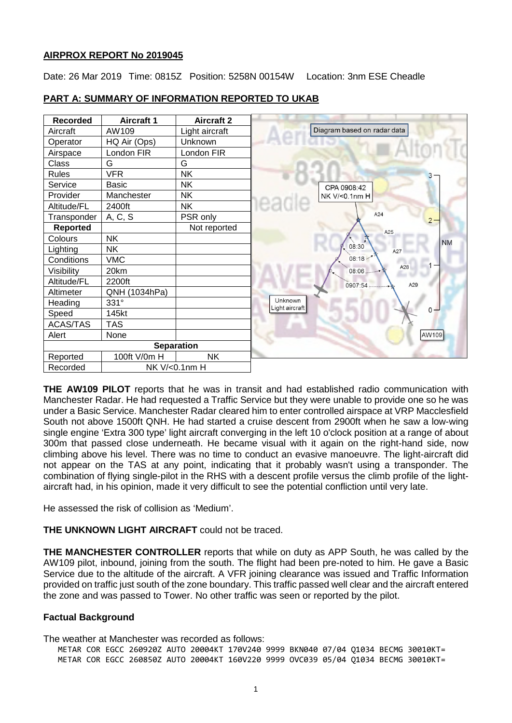### **AIRPROX REPORT No 2019045**

Date: 26 Mar 2019 Time: 0815Z Position: 5258N 00154W Location: 3nm ESE Cheadle



## **PART A: SUMMARY OF INFORMATION REPORTED TO UKAB**

**THE AW109 PILOT** reports that he was in transit and had established radio communication with Manchester Radar. He had requested a Traffic Service but they were unable to provide one so he was under a Basic Service. Manchester Radar cleared him to enter controlled airspace at VRP Macclesfield South not above 1500ft QNH. He had started a cruise descent from 2900ft when he saw a low-wing single engine 'Extra 300 type' light aircraft converging in the left 10 o'clock position at a range of about 300m that passed close underneath. He became visual with it again on the right-hand side, now climbing above his level. There was no time to conduct an evasive manoeuvre. The light-aircraft did not appear on the TAS at any point, indicating that it probably wasn't using a transponder. The combination of flying single-pilot in the RHS with a descent profile versus the climb profile of the lightaircraft had, in his opinion, made it very difficult to see the potential confliction until very late.

He assessed the risk of collision as 'Medium'.

# **THE UNKNOWN LIGHT AIRCRAFT** could not be traced.

**THE MANCHESTER CONTROLLER** reports that while on duty as APP South, he was called by the AW109 pilot, inbound, joining from the south. The flight had been pre-noted to him. He gave a Basic Service due to the altitude of the aircraft. A VFR joining clearance was issued and Traffic Information provided on traffic just south of the zone boundary. This traffic passed well clear and the aircraft entered the zone and was passed to Tower. No other traffic was seen or reported by the pilot.

# **Factual Background**

The weather at Manchester was recorded as follows: METAR COR EGCC 260920Z AUTO 20004KT 170V240 9999 BKN040 07/04 Q1034 BECMG 30010KT= METAR COR EGCC 260850Z AUTO 20004KT 160V220 9999 OVC039 05/04 Q1034 BECMG 30010KT=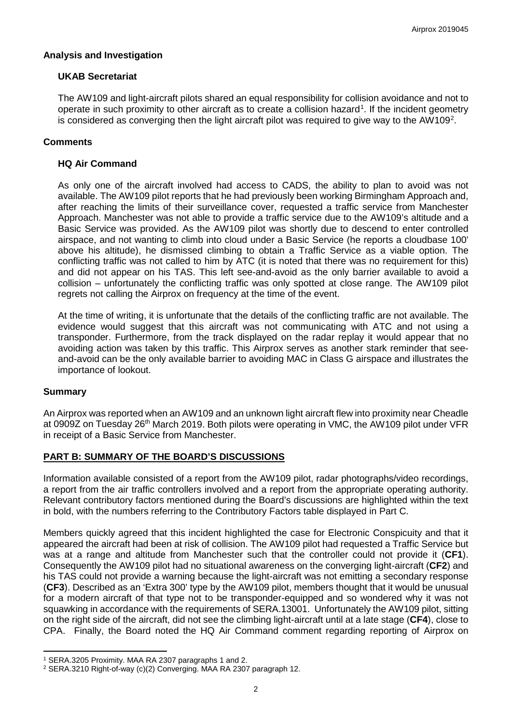### **Analysis and Investigation**

# **UKAB Secretariat**

The AW109 and light-aircraft pilots shared an equal responsibility for collision avoidance and not to operate in such proximity to other aircraft as to create a collision hazard<sup>[1](#page-1-0)</sup>. If the incident geometry is considered as converging then the light aircraft pilot was required to give way to the AW109<sup>[2](#page-1-1)</sup>.

# **Comments**

## **HQ Air Command**

As only one of the aircraft involved had access to CADS, the ability to plan to avoid was not available. The AW109 pilot reports that he had previously been working Birmingham Approach and, after reaching the limits of their surveillance cover, requested a traffic service from Manchester Approach. Manchester was not able to provide a traffic service due to the AW109's altitude and a Basic Service was provided. As the AW109 pilot was shortly due to descend to enter controlled airspace, and not wanting to climb into cloud under a Basic Service (he reports a cloudbase 100' above his altitude), he dismissed climbing to obtain a Traffic Service as a viable option. The conflicting traffic was not called to him by ATC (it is noted that there was no requirement for this) and did not appear on his TAS. This left see-and-avoid as the only barrier available to avoid a collision – unfortunately the conflicting traffic was only spotted at close range. The AW109 pilot regrets not calling the Airprox on frequency at the time of the event.

At the time of writing, it is unfortunate that the details of the conflicting traffic are not available. The evidence would suggest that this aircraft was not communicating with ATC and not using a transponder. Furthermore, from the track displayed on the radar replay it would appear that no avoiding action was taken by this traffic. This Airprox serves as another stark reminder that seeand-avoid can be the only available barrier to avoiding MAC in Class G airspace and illustrates the importance of lookout.

#### **Summary**

l

An Airprox was reported when an AW109 and an unknown light aircraft flew into proximity near Cheadle at 0909Z on Tuesday 26<sup>th</sup> March 2019. Both pilots were operating in VMC, the AW109 pilot under VFR in receipt of a Basic Service from Manchester.

# **PART B: SUMMARY OF THE BOARD'S DISCUSSIONS**

Information available consisted of a report from the AW109 pilot, radar photographs/video recordings, a report from the air traffic controllers involved and a report from the appropriate operating authority. Relevant contributory factors mentioned during the Board's discussions are highlighted within the text in bold, with the numbers referring to the Contributory Factors table displayed in Part C.

Members quickly agreed that this incident highlighted the case for Electronic Conspicuity and that it appeared the aircraft had been at risk of collision. The AW109 pilot had requested a Traffic Service but was at a range and altitude from Manchester such that the controller could not provide it (**CF1**). Consequently the AW109 pilot had no situational awareness on the converging light-aircraft (**CF2**) and his TAS could not provide a warning because the light-aircraft was not emitting a secondary response (**CF3**). Described as an 'Extra 300' type by the AW109 pilot, members thought that it would be unusual for a modern aircraft of that type not to be transponder-equipped and so wondered why it was not squawking in accordance with the requirements of SERA.13001. Unfortunately the AW109 pilot, sitting on the right side of the aircraft, did not see the climbing light-aircraft until at a late stage (**CF4**), close to CPA. Finally, the Board noted the HQ Air Command comment regarding reporting of Airprox on

<span id="page-1-0"></span><sup>1</sup> SERA.3205 Proximity. MAA RA 2307 paragraphs 1 and 2.

<span id="page-1-1"></span><sup>2</sup> SERA.3210 Right-of-way (c)(2) Converging. MAA RA 2307 paragraph 12.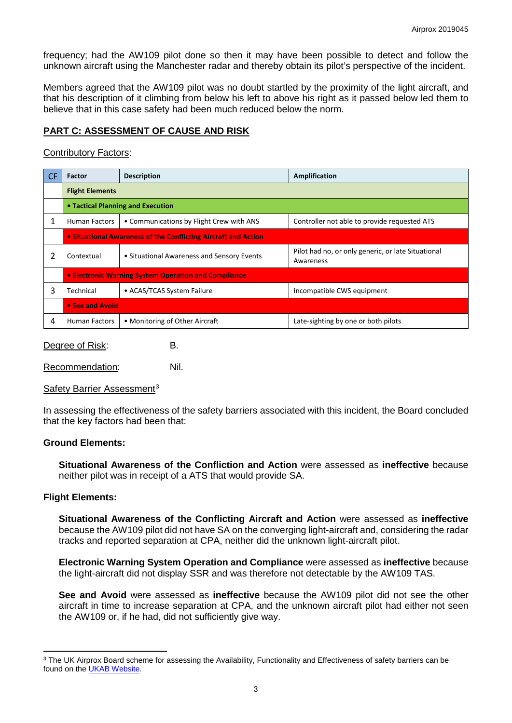frequency; had the AW109 pilot done so then it may have been possible to detect and follow the unknown aircraft using the Manchester radar and thereby obtain its pilot's perspective of the incident.

Members agreed that the AW109 pilot was no doubt startled by the proximity of the light aircraft, and that his description of it climbing from below his left to above his right as it passed below led them to believe that in this case safety had been much reduced below the norm.

# **PART C: ASSESSMENT OF CAUSE AND RISK**

### Contributory Factors:

| <b>CF</b> | <b>Factor</b>                                                  | <b>Description</b>                         | Amplification                                                   |
|-----------|----------------------------------------------------------------|--------------------------------------------|-----------------------------------------------------------------|
|           | <b>Flight Elements</b>                                         |                                            |                                                                 |
|           | • Tactical Planning and Execution                              |                                            |                                                                 |
| 1         | <b>Human Factors</b>                                           | • Communications by Flight Crew with ANS   | Controller not able to provide requested ATS                    |
|           | • Situational Awareness of the Conflicting Aircraft and Action |                                            |                                                                 |
|           | Contextual                                                     | • Situational Awareness and Sensory Events | Pilot had no, or only generic, or late Situational<br>Awareness |
|           | • Electronic Warning System Operation and Compliance           |                                            |                                                                 |
| 3         | Technical                                                      | • ACAS/TCAS System Failure                 | Incompatible CWS equipment                                      |
|           | • See and Avoid                                                |                                            |                                                                 |
| 4         | <b>Human Factors</b>                                           | • Monitoring of Other Aircraft             | Late-sighting by one or both pilots                             |

Degree of Risk: B.

Recommendation: Nil.

Safety Barrier Assessment<sup>[3](#page-2-0)</sup>

In assessing the effectiveness of the safety barriers associated with this incident, the Board concluded that the key factors had been that:

#### **Ground Elements:**

**Situational Awareness of the Confliction and Action** were assessed as **ineffective** because neither pilot was in receipt of a ATS that would provide SA.

#### **Flight Elements:**

l

**Situational Awareness of the Conflicting Aircraft and Action** were assessed as **ineffective** because the AW109 pilot did not have SA on the converging light-aircraft and, considering the radar tracks and reported separation at CPA, neither did the unknown light-aircraft pilot.

**Electronic Warning System Operation and Compliance** were assessed as **ineffective** because the light-aircraft did not display SSR and was therefore not detectable by the AW109 TAS.

**See and Avoid** were assessed as **ineffective** because the AW109 pilot did not see the other aircraft in time to increase separation at CPA, and the unknown aircraft pilot had either not seen the AW109 or, if he had, did not sufficiently give way.

<span id="page-2-0"></span><sup>&</sup>lt;sup>3</sup> The UK Airprox Board scheme for assessing the Availability, Functionality and Effectiveness of safety barriers can be found on the [UKAB Website.](http://www.airproxboard.org.uk/Learn-more/Airprox-Barrier-Assessment/)